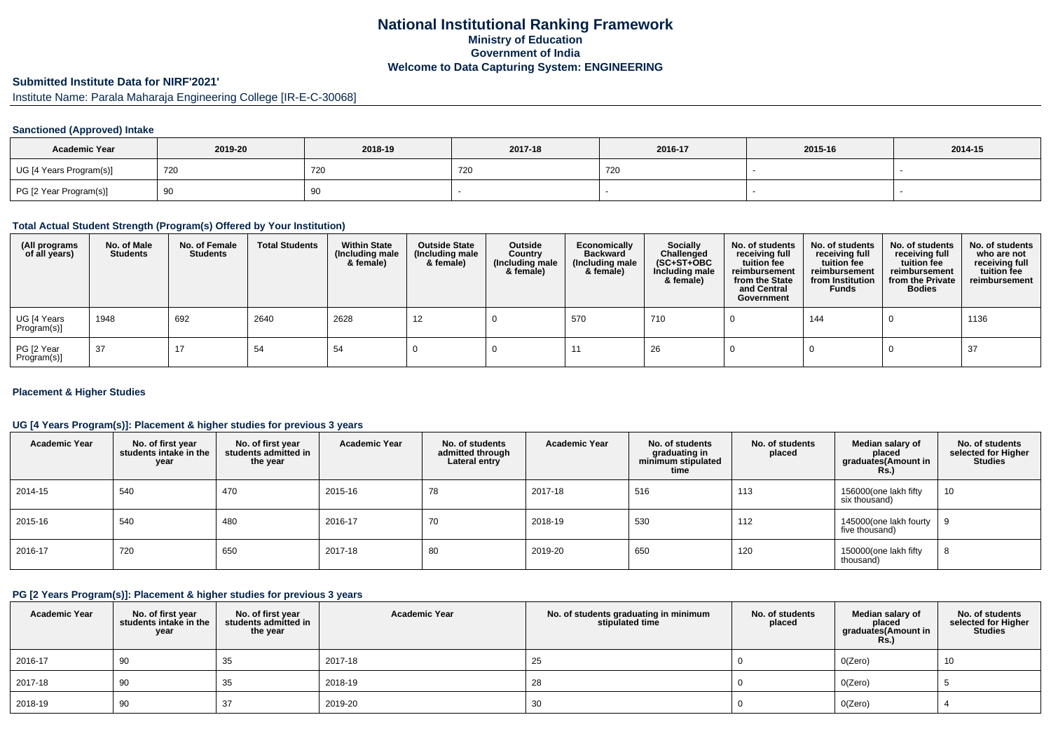## **National Institutional Ranking FrameworkMinistry of Education Government of IndiaWelcome to Data Capturing System: ENGINEERING**

# **Submitted Institute Data for NIRF'2021'**

Institute Name: Parala Maharaja Engineering College [IR-E-C-30068]

### **Sanctioned (Approved) Intake**

| <b>Academic Year</b>    | 2019-20 | 2018-19    | 2017-18 | 2016-17 | 2015-16 | 2014-15 |
|-------------------------|---------|------------|---------|---------|---------|---------|
| UG [4 Years Program(s)] | 720     | <b>720</b> | 720     | 720     |         |         |
| PG [2 Year Program(s)]  | ັບ      | 90         |         |         |         |         |

#### **Total Actual Student Strength (Program(s) Offered by Your Institution)**

| (All programs<br>of all years) | No. of Male<br><b>Students</b> | No. of Female<br>Students | <b>Total Students</b> | <b>Within State</b><br>(Including male<br>& female) | <b>Outside State</b><br>(Including male<br>& female) | Outside<br>Country<br>(Including male<br>& female) | Economically<br><b>Backward</b><br>(Including male<br>& female) | <b>Socially</b><br>Challenged<br>$(SC+ST+OBC)$<br>Including male<br>& female) | No. of students<br>receiving full<br>tuition fee<br>reimbursement<br>from the State<br>and Central<br>Government | No. of students<br>receiving full<br>tuition fee<br>reimbursement<br>from Institution<br><b>Funds</b> | No. of students<br>receiving full<br>tuition fee<br>reimbursement<br>from the Private<br><b>Bodies</b> | No. of students<br>who are not<br>receiving full<br>tuition fee<br>reimbursement |
|--------------------------------|--------------------------------|---------------------------|-----------------------|-----------------------------------------------------|------------------------------------------------------|----------------------------------------------------|-----------------------------------------------------------------|-------------------------------------------------------------------------------|------------------------------------------------------------------------------------------------------------------|-------------------------------------------------------------------------------------------------------|--------------------------------------------------------------------------------------------------------|----------------------------------------------------------------------------------|
| UG [4 Years<br>Program(s)]     | 1948                           | 692                       | 2640                  | 2628                                                | 12                                                   |                                                    | 570                                                             | 710                                                                           |                                                                                                                  | 144                                                                                                   |                                                                                                        | 1136                                                                             |
| PG [2 Year<br>Program(s)]      | 37                             | 17                        | 54                    | 54                                                  |                                                      |                                                    |                                                                 | 26                                                                            |                                                                                                                  |                                                                                                       |                                                                                                        | 37                                                                               |

#### **Placement & Higher Studies**

### **UG [4 Years Program(s)]: Placement & higher studies for previous 3 years**

| <b>Academic Year</b> | No. of first year<br>students intake in the<br>year | No. of first year<br>students admitted in<br>the year | <b>Academic Year</b> | No. of students<br>admitted through<br>Lateral entry | <b>Academic Year</b> | No. of students<br>graduating in<br>minimum stipulated<br>time | No. of students<br>placed | Median salary of<br>placed<br>graduates(Amount in<br>Rs.) | No. of students<br>selected for Higher<br><b>Studies</b> |
|----------------------|-----------------------------------------------------|-------------------------------------------------------|----------------------|------------------------------------------------------|----------------------|----------------------------------------------------------------|---------------------------|-----------------------------------------------------------|----------------------------------------------------------|
| 2014-15              | 540                                                 | 470                                                   | 2015-16              | 78                                                   | 2017-18              | 516                                                            | 113                       | 156000(one lakh fifty<br>six thousand)                    | 10                                                       |
| 2015-16              | 540                                                 | 480                                                   | 2016-17              | 70                                                   | 2018-19              | 530                                                            | 112                       | 145000(one lakh fourty<br>five thousand)                  |                                                          |
| 2016-17              | 720                                                 | 650                                                   | 2017-18              | 80                                                   | 2019-20              | 650                                                            | 120                       | 150000(one lakh fifty<br>thousand)                        | 8                                                        |

#### **PG [2 Years Program(s)]: Placement & higher studies for previous 3 years**

| <b>Academic Year</b> | No. of first year<br>students intake in the<br>year | No. of first vear<br>students admitted in<br>the year | <b>Academic Year</b> | No. of students graduating in minimum<br>stipulated time | No. of students<br>placed | Median salary of<br>placed<br>graduates(Amount in<br><b>Rs.)</b> | No. of students<br>selected for Higher<br><b>Studies</b> |
|----------------------|-----------------------------------------------------|-------------------------------------------------------|----------------------|----------------------------------------------------------|---------------------------|------------------------------------------------------------------|----------------------------------------------------------|
| 2016-17              | 90                                                  | 35                                                    | 2017-18              | 25                                                       |                           | O(Zero)                                                          | 10                                                       |
| 2017-18              | 90                                                  | 35                                                    | 2018-19              | 28                                                       |                           | O(Zero)                                                          |                                                          |
| 2018-19              | 90                                                  | 37                                                    | 2019-20              | 30                                                       |                           | O(Zero)                                                          |                                                          |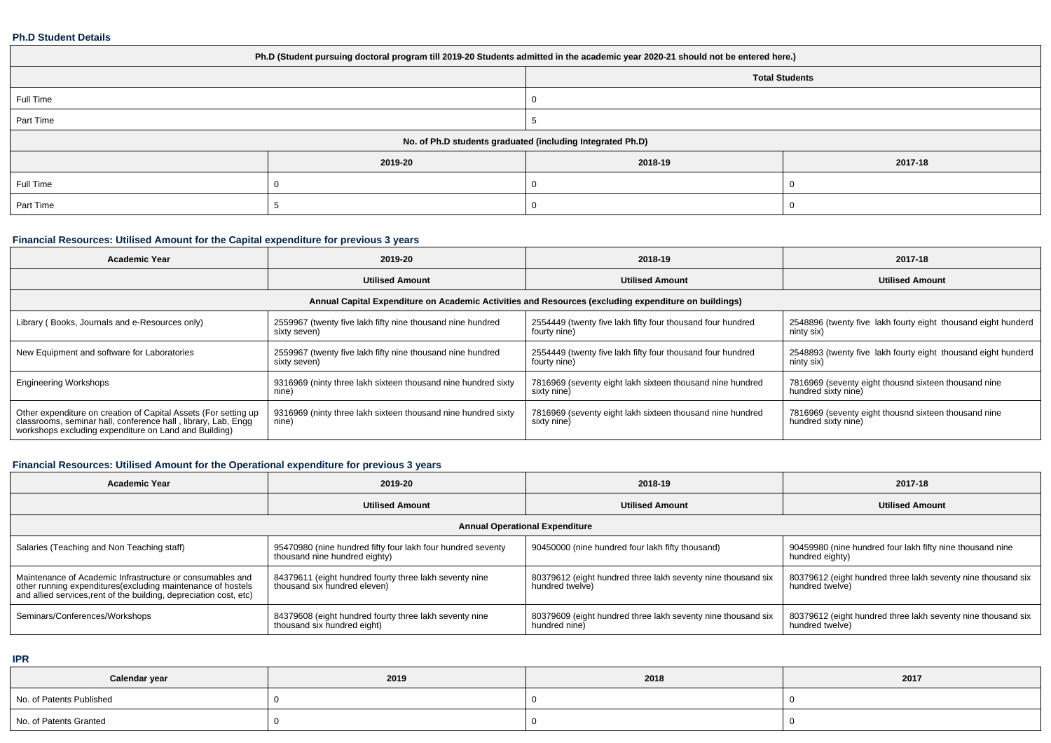#### **Ph.D Student Details**

| Ph.D (Student pursuing doctoral program till 2019-20 Students admitted in the academic year 2020-21 should not be entered here.) |         |         |         |  |  |  |  |
|----------------------------------------------------------------------------------------------------------------------------------|---------|---------|---------|--|--|--|--|
| <b>Total Students</b>                                                                                                            |         |         |         |  |  |  |  |
| Full Time                                                                                                                        |         |         |         |  |  |  |  |
| Part Time                                                                                                                        |         |         |         |  |  |  |  |
| No. of Ph.D students graduated (including Integrated Ph.D)                                                                       |         |         |         |  |  |  |  |
|                                                                                                                                  | 2019-20 | 2018-19 | 2017-18 |  |  |  |  |
| Full Time                                                                                                                        |         |         |         |  |  |  |  |
| Part Time                                                                                                                        |         |         |         |  |  |  |  |

# **Financial Resources: Utilised Amount for the Capital expenditure for previous 3 years**

| <b>Academic Year</b>                                                                                                                                                                      | 2019-20                                                                                              | 2018-19                                                                    | 2017-18                                                                     |  |  |  |  |  |  |  |
|-------------------------------------------------------------------------------------------------------------------------------------------------------------------------------------------|------------------------------------------------------------------------------------------------------|----------------------------------------------------------------------------|-----------------------------------------------------------------------------|--|--|--|--|--|--|--|
|                                                                                                                                                                                           | <b>Utilised Amount</b>                                                                               | <b>Utilised Amount</b>                                                     | <b>Utilised Amount</b>                                                      |  |  |  |  |  |  |  |
|                                                                                                                                                                                           | Annual Capital Expenditure on Academic Activities and Resources (excluding expenditure on buildings) |                                                                            |                                                                             |  |  |  |  |  |  |  |
| Library (Books, Journals and e-Resources only)                                                                                                                                            | 2559967 (twenty five lakh fifty nine thousand nine hundred<br>sixty seven)                           | 2554449 (twenty five lakh fifty four thousand four hundred<br>fourty nine) | 2548896 (twenty five lakh fourty eight thousand eight hunderd<br>ninty six) |  |  |  |  |  |  |  |
| New Equipment and software for Laboratories                                                                                                                                               | 2559967 (twenty five lakh fifty nine thousand nine hundred<br>sixty seven)                           | 2554449 (twenty five lakh fifty four thousand four hundred<br>fourty nine) | 2548893 (twenty five lakh fourty eight thousand eight hunderd<br>ninty six) |  |  |  |  |  |  |  |
| <b>Engineering Workshops</b>                                                                                                                                                              | 9316969 (ninty three lakh sixteen thousand nine hundred sixty<br>nine)                               | 7816969 (seventy eight lakh sixteen thousand nine hundred<br>sixty nine)   | 7816969 (seventy eight thousnd sixteen thousand nine<br>hundred sixty nine) |  |  |  |  |  |  |  |
| Other expenditure on creation of Capital Assets (For setting up<br>classrooms, seminar hall, conference hall, library, Lab, Engq<br>workshops excluding expenditure on Land and Building) | 9316969 (ninty three lakh sixteen thousand nine hundred sixty<br>nine)                               | 7816969 (seventy eight lakh sixteen thousand nine hundred<br>sixty nine)   | 7816969 (seventy eight thousnd sixteen thousand nine<br>hundred sixty nine) |  |  |  |  |  |  |  |

# **Financial Resources: Utilised Amount for the Operational expenditure for previous 3 years**

| <b>Academic Year</b>                                                                                                                                                                            | 2019-20                                                                                      | 2018-19                                                                         | 2017-18                                                                         |  |  |  |  |  |  |
|-------------------------------------------------------------------------------------------------------------------------------------------------------------------------------------------------|----------------------------------------------------------------------------------------------|---------------------------------------------------------------------------------|---------------------------------------------------------------------------------|--|--|--|--|--|--|
|                                                                                                                                                                                                 | <b>Utilised Amount</b><br><b>Utilised Amount</b>                                             |                                                                                 | <b>Utilised Amount</b>                                                          |  |  |  |  |  |  |
| <b>Annual Operational Expenditure</b>                                                                                                                                                           |                                                                                              |                                                                                 |                                                                                 |  |  |  |  |  |  |
| Salaries (Teaching and Non Teaching staff)                                                                                                                                                      | 95470980 (nine hundred fifty four lakh four hundred seventy<br>thousand nine hundred eighty) | 90450000 (nine hundred four lakh fifty thousand)                                | 90459980 (nine hundred four lakh fifty nine thousand nine<br>hundred eighty)    |  |  |  |  |  |  |
| Maintenance of Academic Infrastructure or consumables and<br>other running expenditures (excluding maintenance of hostels<br>and allied services, rent of the building, depreciation cost, etc) | 84379611 (eight hundred fourty three lakh seventy nine<br>thousand six hundred eleven)       | 80379612 (eight hundred three lakh seventy nine thousand six<br>hundred twelve) | 80379612 (eight hundred three lakh seventy nine thousand six<br>hundred twelve) |  |  |  |  |  |  |
| Seminars/Conferences/Workshops                                                                                                                                                                  | 84379608 (eight hundred fourty three lakh seventy nine<br>thousand six hundred eight)        | 80379609 (eight hundred three lakh seventy nine thousand six<br>hundred nine)   | 80379612 (eight hundred three lakh seventy nine thousand six<br>hundred twelve) |  |  |  |  |  |  |

**IPR**

| Calendar year            | 2019 | 2018 | 2017 |
|--------------------------|------|------|------|
| No. of Patents Published |      |      |      |
| No. of Patents Granted   |      |      |      |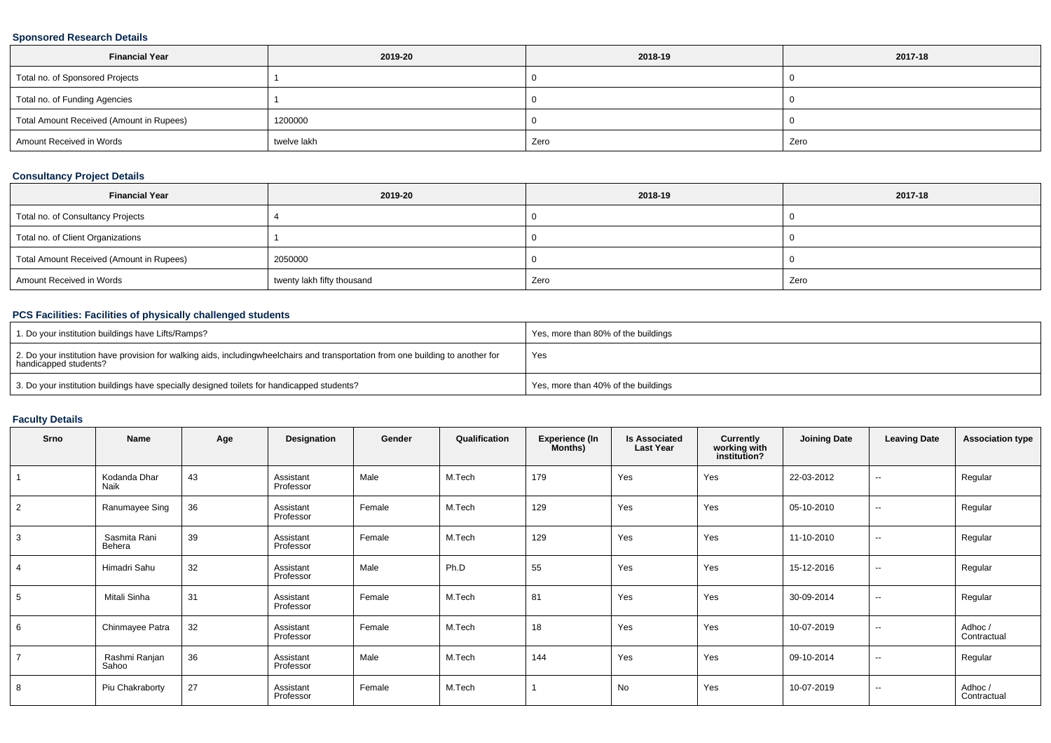### **Sponsored Research Details**

| <b>Financial Year</b>                    | 2019-20     | 2018-19 | 2017-18 |
|------------------------------------------|-------------|---------|---------|
| Total no. of Sponsored Projects          |             |         |         |
| Total no. of Funding Agencies            |             |         |         |
| Total Amount Received (Amount in Rupees) | 1200000     |         |         |
| Amount Received in Words                 | twelve lakh | Zero    | Zero    |

### **Consultancy Project Details**

| <b>Financial Year</b>                    | 2019-20                    | 2018-19 | 2017-18 |
|------------------------------------------|----------------------------|---------|---------|
| Total no. of Consultancy Projects        |                            |         |         |
| Total no. of Client Organizations        |                            |         |         |
| Total Amount Received (Amount in Rupees) | 2050000                    |         |         |
| Amount Received in Words                 | twenty lakh fifty thousand | Zero    | Zero    |

### **PCS Facilities: Facilities of physically challenged students**

| 1. Do your institution buildings have Lifts/Ramps?                                                                                                        | Yes, more than 80% of the buildings |
|-----------------------------------------------------------------------------------------------------------------------------------------------------------|-------------------------------------|
| 2. Do your institution have provision for walking aids, includingwheelchairs and transportation from one building to another for<br>handicapped students? | Yes                                 |
| 3. Do your institution buildings have specially designed toilets for handicapped students?                                                                | Yes, more than 40% of the buildings |

### **Faculty Details**

| Srno | Name                   | Age | Designation            | Gender | Qualification | <b>Experience (In</b><br>Months) | <b>Is Associated</b><br><b>Last Year</b> | <b>Currently</b><br>working with<br>institution? | <b>Joining Date</b> | <b>Leaving Date</b>      | <b>Association type</b> |
|------|------------------------|-----|------------------------|--------|---------------|----------------------------------|------------------------------------------|--------------------------------------------------|---------------------|--------------------------|-------------------------|
|      | Kodanda Dhar<br>Naik   | 43  | Assistant<br>Professor | Male   | M.Tech        | 179                              | Yes                                      | Yes                                              | 22-03-2012          | $\sim$                   | Regular                 |
| 2    | Ranumayee Sing         | 36  | Assistant<br>Professor | Female | M.Tech        | 129                              | Yes                                      | Yes                                              | 05-10-2010          | $\overline{\phantom{a}}$ | Regular                 |
| 3    | Sasmita Rani<br>Behera | 39  | Assistant<br>Professor | Female | M.Tech        | 129                              | Yes                                      | Yes                                              | 11-10-2010          | $\sim$                   | Regular                 |
|      | Himadri Sahu           | 32  | Assistant<br>Professor | Male   | Ph.D          | 55                               | Yes                                      | Yes                                              | 15-12-2016          | $\overline{\phantom{a}}$ | Regular                 |
|      | Mitali Sinha           | 31  | Assistant<br>Professor | Female | M.Tech        | 81                               | Yes                                      | Yes                                              | 30-09-2014          | $\overline{\phantom{a}}$ | Regular                 |
| 6    | Chinmayee Patra        | 32  | Assistant<br>Professor | Female | M.Tech        | 18                               | Yes                                      | Yes                                              | 10-07-2019          | $\sim$                   | Adhoc /<br>Contractual  |
|      | Rashmi Ranjan<br>Sahoo | 36  | Assistant<br>Professor | Male   | M.Tech        | 144                              | Yes                                      | Yes                                              | 09-10-2014          | $\sim$                   | Regular                 |
| 8    | Piu Chakraborty        | 27  | Assistant<br>Professor | Female | M.Tech        |                                  | No                                       | Yes                                              | 10-07-2019          | $\overline{\phantom{a}}$ | Adhoc /<br>Contractual  |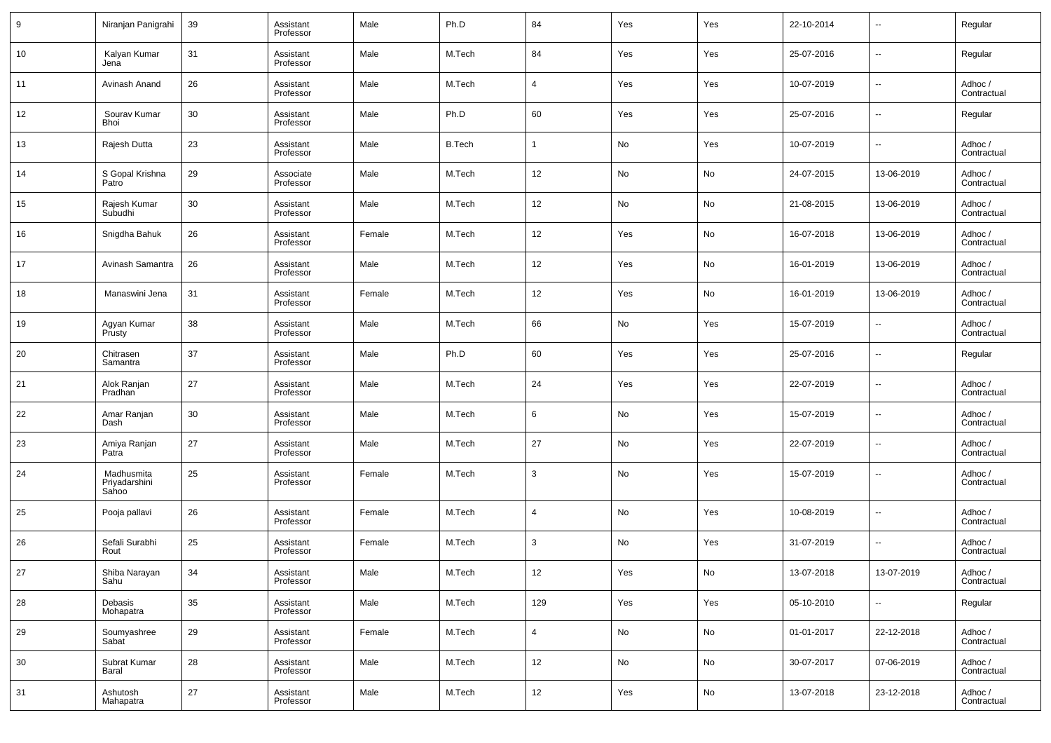| 9  | Niranjan Panigrahi                   | 39 | Assistant<br>Professor | Male   | Ph.D          | 84             | Yes | Yes | 22-10-2014 | $\overline{\phantom{a}}$ | Regular                |
|----|--------------------------------------|----|------------------------|--------|---------------|----------------|-----|-----|------------|--------------------------|------------------------|
| 10 | Kalyan Kumar<br>Jena                 | 31 | Assistant<br>Professor | Male   | M.Tech        | 84             | Yes | Yes | 25-07-2016 | $\sim$                   | Regular                |
| 11 | Avinash Anand                        | 26 | Assistant<br>Professor | Male   | M.Tech        | $\overline{4}$ | Yes | Yes | 10-07-2019 | $\sim$                   | Adhoc /<br>Contractual |
| 12 | Sourav Kumar<br>Bhoi                 | 30 | Assistant<br>Professor | Male   | Ph.D          | 60             | Yes | Yes | 25-07-2016 | $\sim$                   | Regular                |
| 13 | Rajesh Dutta                         | 23 | Assistant<br>Professor | Male   | <b>B.Tech</b> | $\mathbf{1}$   | No  | Yes | 10-07-2019 | $\sim$                   | Adhoc /<br>Contractual |
| 14 | S Gopal Krishna<br>Patro             | 29 | Associate<br>Professor | Male   | M.Tech        | 12             | No  | No  | 24-07-2015 | 13-06-2019               | Adhoc /<br>Contractual |
| 15 | Rajesh Kumar<br>Subudhi              | 30 | Assistant<br>Professor | Male   | M.Tech        | 12             | No  | No  | 21-08-2015 | 13-06-2019               | Adhoc /<br>Contractual |
| 16 | Snigdha Bahuk                        | 26 | Assistant<br>Professor | Female | M.Tech        | 12             | Yes | No  | 16-07-2018 | 13-06-2019               | Adhoc /<br>Contractual |
| 17 | Avinash Samantra                     | 26 | Assistant<br>Professor | Male   | M.Tech        | 12             | Yes | No  | 16-01-2019 | 13-06-2019               | Adhoc /<br>Contractual |
| 18 | Manaswini Jena                       | 31 | Assistant<br>Professor | Female | M.Tech        | 12             | Yes | No  | 16-01-2019 | 13-06-2019               | Adhoc /<br>Contractual |
| 19 | Agyan Kumar<br>Prusty                | 38 | Assistant<br>Professor | Male   | M.Tech        | 66             | No  | Yes | 15-07-2019 | $\sim$                   | Adhoc /<br>Contractual |
| 20 | Chitrasen<br>Samantra                | 37 | Assistant<br>Professor | Male   | Ph.D          | 60             | Yes | Yes | 25-07-2016 | $\sim$                   | Regular                |
| 21 | Alok Ranjan<br>Pradhan               | 27 | Assistant<br>Professor | Male   | M.Tech        | 24             | Yes | Yes | 22-07-2019 | $\sim$                   | Adhoc /<br>Contractual |
| 22 | Amar Ranjan<br>Dash                  | 30 | Assistant<br>Professor | Male   | M.Tech        | 6              | No  | Yes | 15-07-2019 | $\sim$                   | Adhoc /<br>Contractual |
| 23 | Amiya Ranjan<br>Patra                | 27 | Assistant<br>Professor | Male   | M.Tech        | 27             | No  | Yes | 22-07-2019 | $\sim$                   | Adhoc /<br>Contractual |
| 24 | Madhusmita<br>Priyadarshini<br>Sahoo | 25 | Assistant<br>Professor | Female | M.Tech        | 3              | No  | Yes | 15-07-2019 | $\overline{\phantom{a}}$ | Adhoc /<br>Contractual |
| 25 | Pooja pallavi                        | 26 | Assistant<br>Professor | Female | M.Tech        | $\overline{4}$ | No  | Yes | 10-08-2019 | $\sim$                   | Adhoc /<br>Contractual |
| 26 | Sefali Surabhi<br>Rout               | 25 | Assistant<br>Professor | Female | M.Tech        | 3              | No  | Yes | 31-07-2019 | $\overline{\phantom{a}}$ | Adhoc /<br>Contractual |
| 27 | Shiba Narayan<br>Sahu                | 34 | Assistant<br>Professor | Male   | M.Tech        | 12             | Yes | No  | 13-07-2018 | 13-07-2019               | Adhoc /<br>Contractual |
| 28 | Debasis<br>Mohapatra                 | 35 | Assistant<br>Professor | Male   | M.Tech        | 129            | Yes | Yes | 05-10-2010 | $\sim$                   | Regular                |
| 29 | Soumyashree<br>Sabat <sup>1</sup>    | 29 | Assistant<br>Professor | Female | M.Tech        | $\overline{4}$ | No  | No  | 01-01-2017 | 22-12-2018               | Adhoc /<br>Contractual |
| 30 | Subrat Kumar<br>Baral                | 28 | Assistant<br>Professor | Male   | M.Tech        | 12             | No  | No  | 30-07-2017 | 07-06-2019               | Adhoc /<br>Contractual |
| 31 | Ashutosh<br>Mahapatra                | 27 | Assistant<br>Professor | Male   | M.Tech        | 12             | Yes | No  | 13-07-2018 | 23-12-2018               | Adhoc /<br>Contractual |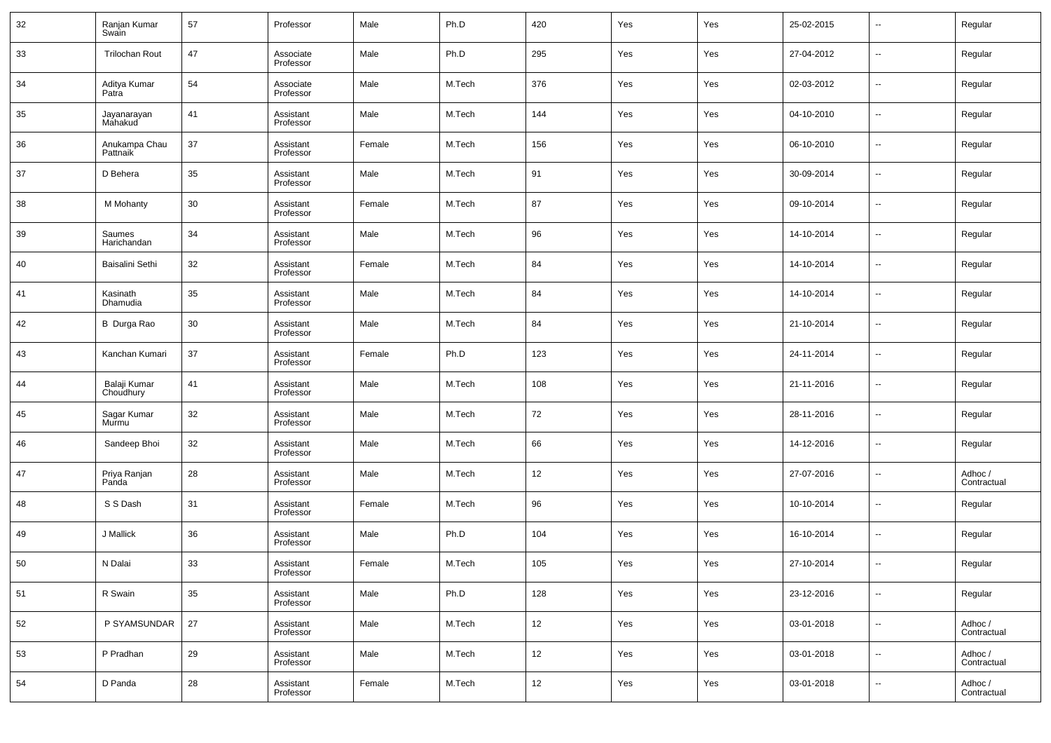| 32 | Ranjan Kumar<br>Swain     | 57 | Professor              | Male   | Ph.D   | 420 | Yes | Yes | 25-02-2015 | $\overline{\phantom{a}}$ | Regular                |
|----|---------------------------|----|------------------------|--------|--------|-----|-----|-----|------------|--------------------------|------------------------|
| 33 | <b>Trilochan Rout</b>     | 47 | Associate<br>Professor | Male   | Ph.D   | 295 | Yes | Yes | 27-04-2012 | $\overline{\phantom{a}}$ | Regular                |
| 34 | Aditya Kumar<br>Patra     | 54 | Associate<br>Professor | Male   | M.Tech | 376 | Yes | Yes | 02-03-2012 | $\overline{\phantom{a}}$ | Regular                |
| 35 | Jayanarayan<br>Mahakud    | 41 | Assistant<br>Professor | Male   | M.Tech | 144 | Yes | Yes | 04-10-2010 | $\overline{\phantom{a}}$ | Regular                |
| 36 | Anukampa Chau<br>Pattnaik | 37 | Assistant<br>Professor | Female | M.Tech | 156 | Yes | Yes | 06-10-2010 | $\overline{\phantom{a}}$ | Regular                |
| 37 | D Behera                  | 35 | Assistant<br>Professor | Male   | M.Tech | 91  | Yes | Yes | 30-09-2014 | $\overline{\phantom{a}}$ | Regular                |
| 38 | M Mohanty                 | 30 | Assistant<br>Professor | Female | M.Tech | 87  | Yes | Yes | 09-10-2014 | $\overline{\phantom{a}}$ | Regular                |
| 39 | Saumes<br>Harichandan     | 34 | Assistant<br>Professor | Male   | M.Tech | 96  | Yes | Yes | 14-10-2014 | $\overline{\phantom{a}}$ | Regular                |
| 40 | Baisalini Sethi           | 32 | Assistant<br>Professor | Female | M.Tech | 84  | Yes | Yes | 14-10-2014 | $\overline{\phantom{a}}$ | Regular                |
| 41 | Kasinath<br>Dhamudia      | 35 | Assistant<br>Professor | Male   | M.Tech | 84  | Yes | Yes | 14-10-2014 | $\overline{\phantom{a}}$ | Regular                |
| 42 | B Durga Rao               | 30 | Assistant<br>Professor | Male   | M.Tech | 84  | Yes | Yes | 21-10-2014 | $\overline{\phantom{a}}$ | Regular                |
| 43 | Kanchan Kumari            | 37 | Assistant<br>Professor | Female | Ph.D   | 123 | Yes | Yes | 24-11-2014 | $\overline{\phantom{a}}$ | Regular                |
| 44 | Balaji Kumar<br>Choudhury | 41 | Assistant<br>Professor | Male   | M.Tech | 108 | Yes | Yes | 21-11-2016 | $\overline{\phantom{a}}$ | Regular                |
| 45 | Sagar Kumar<br>Murmu      | 32 | Assistant<br>Professor | Male   | M.Tech | 72  | Yes | Yes | 28-11-2016 | $\overline{\phantom{a}}$ | Regular                |
| 46 | Sandeep Bhoi              | 32 | Assistant<br>Professor | Male   | M.Tech | 66  | Yes | Yes | 14-12-2016 | $\overline{\phantom{a}}$ | Regular                |
| 47 | Priya Ranjan<br>Panda     | 28 | Assistant<br>Professor | Male   | M.Tech | 12  | Yes | Yes | 27-07-2016 | $\overline{\phantom{a}}$ | Adhoc /<br>Contractual |
| 48 | S S Dash                  | 31 | Assistant<br>Professor | Female | M.Tech | 96  | Yes | Yes | 10-10-2014 | $\overline{\phantom{a}}$ | Regular                |
| 49 | J Mallick                 | 36 | Assistant<br>Professor | Male   | Ph.D   | 104 | Yes | Yes | 16-10-2014 | $\overline{\phantom{a}}$ | Regular                |
| 50 | N Dalai                   | 33 | Assistant<br>Professor | Female | M.Tech | 105 | Yes | Yes | 27-10-2014 | $\overline{\phantom{a}}$ | Regular                |
| 51 | R Swain                   | 35 | Assistant<br>Professor | Male   | Ph.D   | 128 | Yes | Yes | 23-12-2016 | $\overline{\phantom{a}}$ | Regular                |
| 52 | P SYAMSUNDAR              | 27 | Assistant<br>Professor | Male   | M.Tech | 12  | Yes | Yes | 03-01-2018 | $\overline{\phantom{a}}$ | Adhoc /<br>Contractual |
| 53 | P Pradhan                 | 29 | Assistant<br>Professor | Male   | M.Tech | 12  | Yes | Yes | 03-01-2018 | $\overline{\phantom{a}}$ | Adhoc /<br>Contractual |
| 54 | D Panda                   | 28 | Assistant<br>Professor | Female | M.Tech | 12  | Yes | Yes | 03-01-2018 | $\overline{\phantom{a}}$ | Adhoc /<br>Contractual |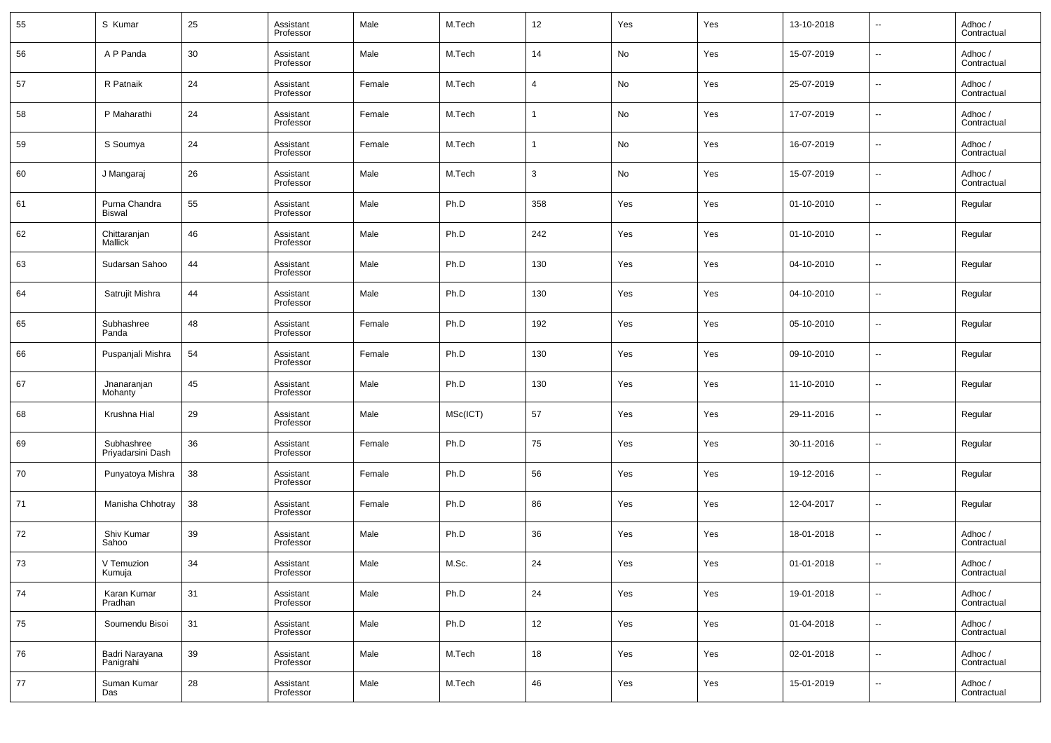| 55  | S Kumar                         | 25 | Assistant<br>Professor | Male   | M.Tech   | 12          | Yes | Yes | 13-10-2018 | $\overline{\phantom{a}}$ | Adhoc /<br>Contractual |
|-----|---------------------------------|----|------------------------|--------|----------|-------------|-----|-----|------------|--------------------------|------------------------|
| 56  | A P Panda                       | 30 | Assistant<br>Professor | Male   | M.Tech   | 14          | No  | Yes | 15-07-2019 | $\overline{\phantom{a}}$ | Adhoc /<br>Contractual |
| 57  | R Patnaik                       | 24 | Assistant<br>Professor | Female | M.Tech   | 4           | No  | Yes | 25-07-2019 | $\overline{\phantom{a}}$ | Adhoc /<br>Contractual |
| 58  | P Maharathi                     | 24 | Assistant<br>Professor | Female | M.Tech   | -1          | No  | Yes | 17-07-2019 | $\overline{\phantom{a}}$ | Adhoc /<br>Contractual |
| 59  | S Soumya                        | 24 | Assistant<br>Professor | Female | M.Tech   | $\mathbf 1$ | No  | Yes | 16-07-2019 | $\overline{\phantom{a}}$ | Adhoc /<br>Contractual |
| 60  | J Mangaraj                      | 26 | Assistant<br>Professor | Male   | M.Tech   | 3           | No  | Yes | 15-07-2019 | $\overline{\phantom{a}}$ | Adhoc /<br>Contractual |
| 61  | Purna Chandra<br>Biswal         | 55 | Assistant<br>Professor | Male   | Ph.D     | 358         | Yes | Yes | 01-10-2010 | $\overline{\phantom{a}}$ | Regular                |
| 62  | Chittaranjan<br>Mallick         | 46 | Assistant<br>Professor | Male   | Ph.D     | 242         | Yes | Yes | 01-10-2010 | $\overline{\phantom{a}}$ | Regular                |
| 63  | Sudarsan Sahoo                  | 44 | Assistant<br>Professor | Male   | Ph.D     | 130         | Yes | Yes | 04-10-2010 | $\overline{\phantom{a}}$ | Regular                |
| 64  | Satrujit Mishra                 | 44 | Assistant<br>Professor | Male   | Ph.D     | 130         | Yes | Yes | 04-10-2010 | $\overline{\phantom{a}}$ | Regular                |
| 65  | Subhashree<br>Panda             | 48 | Assistant<br>Professor | Female | Ph.D     | 192         | Yes | Yes | 05-10-2010 | $\overline{\phantom{a}}$ | Regular                |
| 66  | Puspanjali Mishra               | 54 | Assistant<br>Professor | Female | Ph.D     | 130         | Yes | Yes | 09-10-2010 | $\overline{\phantom{a}}$ | Regular                |
| 67  | Jnanaranjan<br>Mohanty          | 45 | Assistant<br>Professor | Male   | Ph.D     | 130         | Yes | Yes | 11-10-2010 | $\overline{\phantom{a}}$ | Regular                |
| 68  | Krushna Hial                    | 29 | Assistant<br>Professor | Male   | MSc(ICT) | 57          | Yes | Yes | 29-11-2016 | $\overline{\phantom{a}}$ | Regular                |
| 69  | Subhashree<br>Priyadarsini Dash | 36 | Assistant<br>Professor | Female | Ph.D     | 75          | Yes | Yes | 30-11-2016 | $\overline{\phantom{a}}$ | Regular                |
| 70  | Punyatoya Mishra                | 38 | Assistant<br>Professor | Female | Ph.D     | 56          | Yes | Yes | 19-12-2016 | $\overline{\phantom{a}}$ | Regular                |
| 71  | Manisha Chhotray                | 38 | Assistant<br>Professor | Female | Ph.D     | 86          | Yes | Yes | 12-04-2017 | $\overline{\phantom{a}}$ | Regular                |
| 72  | Shiv Kumar<br>Sahoo             | 39 | Assistant<br>Professor | Male   | Ph.D     | 36          | Yes | Yes | 18-01-2018 | $\overline{\phantom{a}}$ | Adhoc /<br>Contractual |
| -73 | V Temuzion<br>Kumuja            | 34 | Assistant<br>Professor | Male   | M.Sc.    | 24          | Yes | Yes | 01-01-2018 | $\overline{\phantom{a}}$ | Adhoc /<br>Contractual |
| 74  | Karan Kumar<br>Pradhan          | 31 | Assistant<br>Professor | Male   | Ph.D     | $24\,$      | Yes | Yes | 19-01-2018 | $\overline{\phantom{a}}$ | Adhoc /<br>Contractual |
| 75  | Soumendu Bisoi                  | 31 | Assistant<br>Professor | Male   | Ph.D     | 12          | Yes | Yes | 01-04-2018 | $\overline{\phantom{a}}$ | Adhoc /<br>Contractual |
| 76  | Badri Narayana<br>Panigrahi     | 39 | Assistant<br>Professor | Male   | M.Tech   | 18          | Yes | Yes | 02-01-2018 | $\overline{\phantom{a}}$ | Adhoc /<br>Contractual |
| 77  | Suman Kumar<br>Das              | 28 | Assistant<br>Professor | Male   | M.Tech   | 46          | Yes | Yes | 15-01-2019 | $\overline{\phantom{a}}$ | Adhoc /<br>Contractual |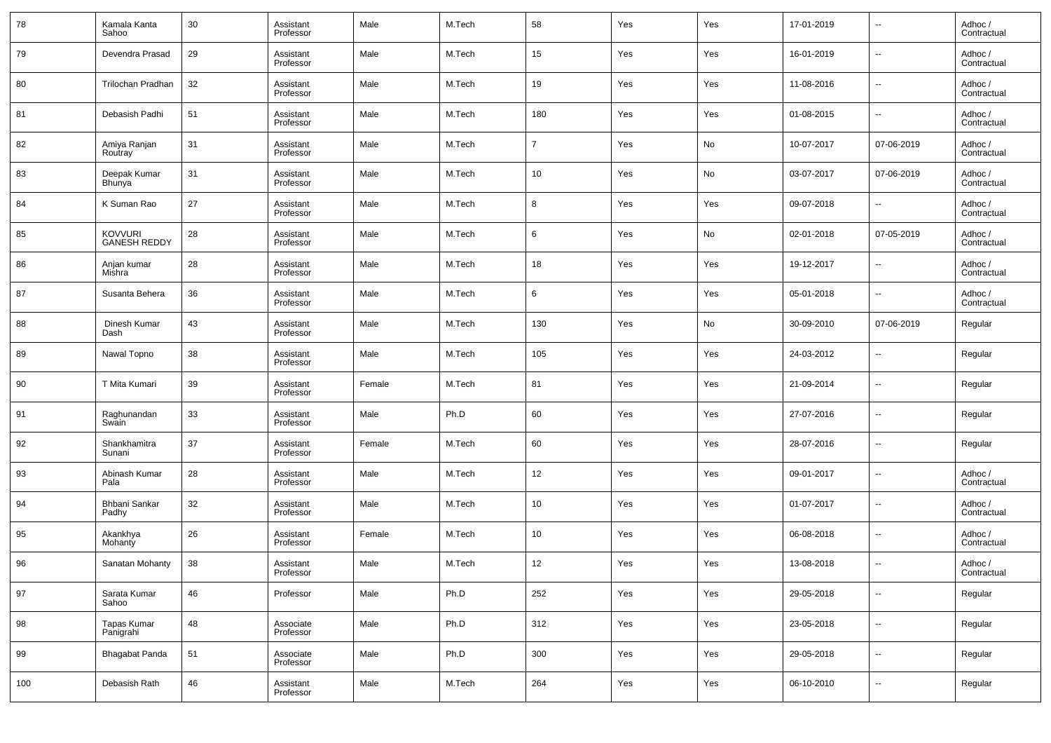| 78  | Kamala Kanta<br>Sahoo                 | 30 | Assistant<br>Professor | Male   | M.Tech | 58             | Yes | Yes | 17-01-2019 | $\overline{\phantom{a}}$ | Adhoc /<br>Contractual |
|-----|---------------------------------------|----|------------------------|--------|--------|----------------|-----|-----|------------|--------------------------|------------------------|
| 79  | Devendra Prasad                       | 29 | Assistant<br>Professor | Male   | M.Tech | 15             | Yes | Yes | 16-01-2019 | $\overline{\phantom{a}}$ | Adhoc /<br>Contractual |
| 80  | Trilochan Pradhan                     | 32 | Assistant<br>Professor | Male   | M.Tech | 19             | Yes | Yes | 11-08-2016 | $\overline{\phantom{a}}$ | Adhoc /<br>Contractual |
| 81  | Debasish Padhi                        | 51 | Assistant<br>Professor | Male   | M.Tech | 180            | Yes | Yes | 01-08-2015 | $\overline{\phantom{a}}$ | Adhoc /<br>Contractual |
| 82  | Amiya Ranjan<br>Routray               | 31 | Assistant<br>Professor | Male   | M.Tech | $\overline{7}$ | Yes | No  | 10-07-2017 | 07-06-2019               | Adhoc /<br>Contractual |
| 83  | Deepak Kumar<br>Bhunya                | 31 | Assistant<br>Professor | Male   | M.Tech | 10             | Yes | No  | 03-07-2017 | 07-06-2019               | Adhoc /<br>Contractual |
| 84  | K Suman Rao                           | 27 | Assistant<br>Professor | Male   | M.Tech | 8              | Yes | Yes | 09-07-2018 | $\overline{\phantom{a}}$ | Adhoc /<br>Contractual |
| 85  | <b>KOVVURI</b><br><b>GANESH REDDY</b> | 28 | Assistant<br>Professor | Male   | M.Tech | 6              | Yes | No  | 02-01-2018 | 07-05-2019               | Adhoc /<br>Contractual |
| 86  | Anjan kumar<br>Mishra                 | 28 | Assistant<br>Professor | Male   | M.Tech | 18             | Yes | Yes | 19-12-2017 | $\overline{\phantom{a}}$ | Adhoc /<br>Contractual |
| 87  | Susanta Behera                        | 36 | Assistant<br>Professor | Male   | M.Tech | 6              | Yes | Yes | 05-01-2018 | $\overline{\phantom{a}}$ | Adhoc /<br>Contractual |
| 88  | Dinesh Kumar<br>Dash                  | 43 | Assistant<br>Professor | Male   | M.Tech | 130            | Yes | No  | 30-09-2010 | 07-06-2019               | Regular                |
| 89  | Nawal Topno                           | 38 | Assistant<br>Professor | Male   | M.Tech | 105            | Yes | Yes | 24-03-2012 | $\overline{\phantom{a}}$ | Regular                |
| 90  | T Mita Kumari                         | 39 | Assistant<br>Professor | Female | M.Tech | 81             | Yes | Yes | 21-09-2014 | $\overline{\phantom{a}}$ | Regular                |
| 91  | Raghunandan<br>Swain                  | 33 | Assistant<br>Professor | Male   | Ph.D   | 60             | Yes | Yes | 27-07-2016 | $\overline{\phantom{a}}$ | Regular                |
| 92  | Shankhamitra<br>Sunani                | 37 | Assistant<br>Professor | Female | M.Tech | 60             | Yes | Yes | 28-07-2016 | $\overline{\phantom{a}}$ | Regular                |
| 93  | Abinash Kumar<br>Pala                 | 28 | Assistant<br>Professor | Male   | M.Tech | 12             | Yes | Yes | 09-01-2017 | $\overline{\phantom{a}}$ | Adhoc /<br>Contractual |
| 94  | Bhbani Sankar<br>Padhy                | 32 | Assistant<br>Professor | Male   | M.Tech | 10             | Yes | Yes | 01-07-2017 | $\overline{\phantom{a}}$ | Adhoc /<br>Contractual |
| 95  | Akankhya<br>Mohanty                   | 26 | Assistant<br>Professor | Female | M.Tech | 10             | Yes | Yes | 06-08-2018 | $\overline{\phantom{a}}$ | Adhoc /<br>Contractual |
| 96  | Sanatan Mohanty                       | 38 | Assistant<br>Professor | Male   | M.Tech | 12             | Yes | Yes | 13-08-2018 | $\sim$                   | Adhoc /<br>Contractual |
| 97  | Sarata Kumar<br>Sahoo                 | 46 | Professor              | Male   | Ph.D   | 252            | Yes | Yes | 29-05-2018 | $\overline{\phantom{a}}$ | Regular                |
| 98  | Tapas Kumar<br>Panigrahi              | 48 | Associate<br>Professor | Male   | Ph.D   | 312            | Yes | Yes | 23-05-2018 | $\overline{\phantom{a}}$ | Regular                |
| 99  | Bhagabat Panda                        | 51 | Associate<br>Professor | Male   | Ph.D   | 300            | Yes | Yes | 29-05-2018 | $\overline{\phantom{a}}$ | Regular                |
| 100 | Debasish Rath                         | 46 | Assistant<br>Professor | Male   | M.Tech | 264            | Yes | Yes | 06-10-2010 | $\overline{\phantom{a}}$ | Regular                |